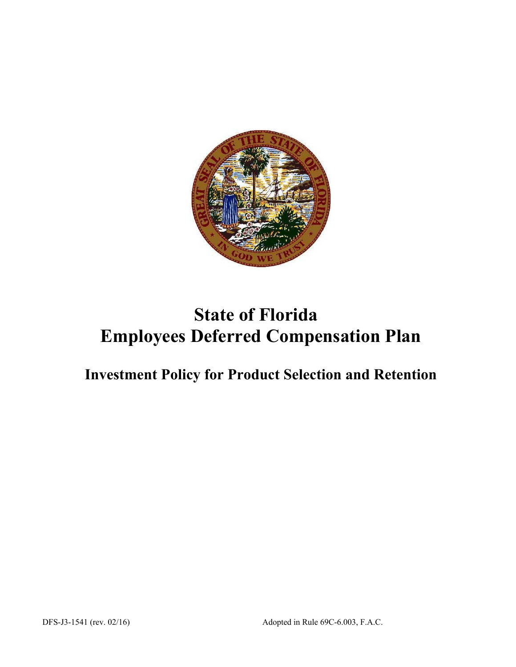

# **State of Florida Employees Deferred Compensation Plan**

## **Investment Policy for Product Selection and Retention**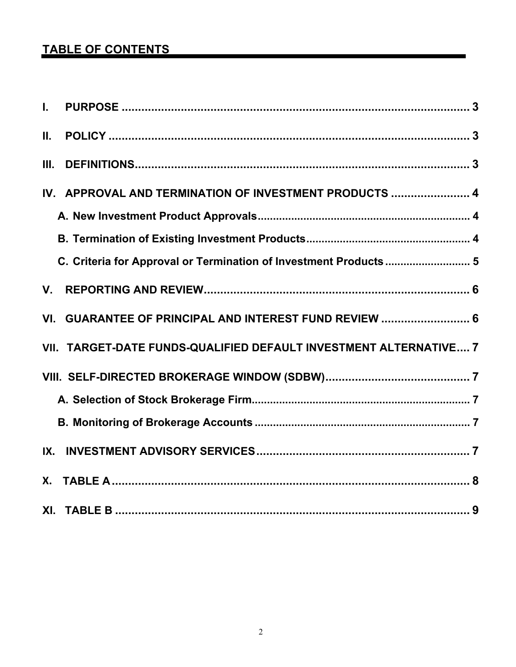## **TABLE OF CONTENTS**

| L.  |                                                                   |  |
|-----|-------------------------------------------------------------------|--|
| Ш.  |                                                                   |  |
| Ш.  |                                                                   |  |
|     | IV. APPROVAL AND TERMINATION OF INVESTMENT PRODUCTS  4            |  |
|     |                                                                   |  |
|     |                                                                   |  |
|     | C. Criteria for Approval or Termination of Investment Products 5  |  |
| V.  |                                                                   |  |
| VI. | GUARANTEE OF PRINCIPAL AND INTEREST FUND REVIEW  6                |  |
|     | VII. TARGET-DATE FUNDS-QUALIFIED DEFAULT INVESTMENT ALTERNATIVE 7 |  |
|     |                                                                   |  |
|     |                                                                   |  |
|     |                                                                   |  |
| IX. |                                                                   |  |
| Х.  |                                                                   |  |
|     |                                                                   |  |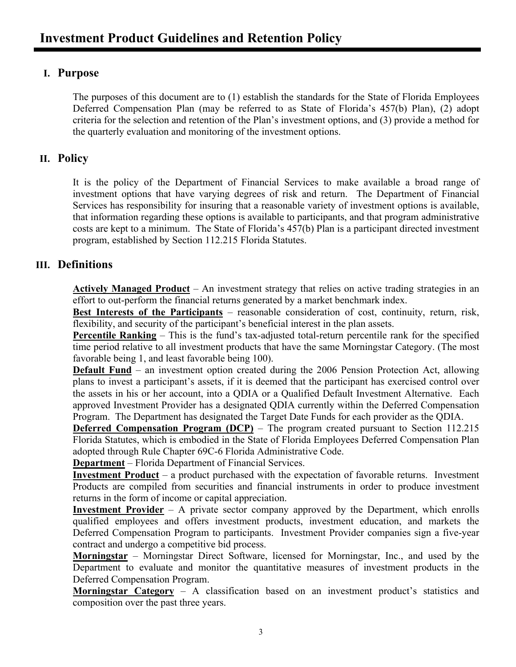#### **I. Purpose**

The purposes of this document are to (1) establish the standards for the State of Florida Employees Deferred Compensation Plan (may be referred to as State of Florida's 457(b) Plan), (2) adopt criteria for the selection and retention of the Plan's investment options, and (3) provide a method for the quarterly evaluation and monitoring of the investment options.

#### **II. Policy**

It is the policy of the Department of Financial Services to make available a broad range of investment options that have varying degrees of risk and return. The Department of Financial Services has responsibility for insuring that a reasonable variety of investment options is available, that information regarding these options is available to participants, and that program administrative costs are kept to a minimum. The State of Florida's 457(b) Plan is a participant directed investment program, established by Section 112.215 Florida Statutes.

#### **III. Definitions**

**Actively Managed Product** – An investment strategy that relies on active trading strategies in an effort to out-perform the financial returns generated by a market benchmark index.

**Best Interests of the Participants** – reasonable consideration of cost, continuity, return, risk, flexibility, and security of the participant's beneficial interest in the plan assets.

**Percentile Ranking** – This is the fund's tax-adjusted total-return percentile rank for the specified time period relative to all investment products that have the same Morningstar Category. (The most favorable being 1, and least favorable being 100).

**Default Fund** – an investment option created during the 2006 Pension Protection Act, allowing plans to invest a participant's assets, if it is deemed that the participant has exercised control over the assets in his or her account, into a QDIA or a Qualified Default Investment Alternative. Each approved Investment Provider has a designated QDIA currently within the Deferred Compensation Program. The Department has designated the Target Date Funds for each provider as the QDIA.

**Deferred Compensation Program (DCP)** – The program created pursuant to Section 112.215 Florida Statutes, which is embodied in the State of Florida Employees Deferred Compensation Plan adopted through Rule Chapter 69C-6 Florida Administrative Code.

**Department** – Florida Department of Financial Services.

**Investment Product** – a product purchased with the expectation of favorable returns. Investment Products are compiled from securities and financial instruments in order to produce investment returns in the form of income or capital appreciation.

**Investment Provider** – A private sector company approved by the Department, which enrolls qualified employees and offers investment products, investment education, and markets the Deferred Compensation Program to participants. Investment Provider companies sign a five-year contract and undergo a competitive bid process.

**Morningstar** – Morningstar Direct Software, licensed for Morningstar, Inc., and used by the Department to evaluate and monitor the quantitative measures of investment products in the Deferred Compensation Program.

**Morningstar Category** – A classification based on an investment product's statistics and composition over the past three years.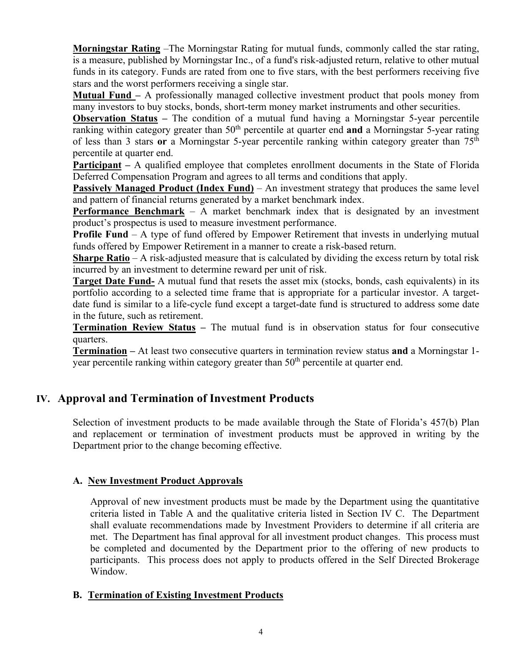**Morningstar Rating** –The Morningstar Rating for mutual funds, commonly called the star rating, is a measure, published by Morningstar Inc., of a fund's risk-adjusted return, relative to other mutual funds in its category. Funds are rated from one to five stars, with the best performers receiving five stars and the worst performers receiving a single star.

**Mutual Fund –** A professionally managed collective investment product that pools money from many investors to buy stocks, bonds, short-term money market instruments and other securities.

**Observation Status –** The condition of a mutual fund having a Morningstar 5-year percentile ranking within category greater than 50<sup>th</sup> percentile at quarter end **and** a Morningstar 5-year rating of less than 3 stars **or** a Morningstar 5-year percentile ranking within category greater than 75th percentile at quarter end.

**Participant** – A qualified employee that completes enrollment documents in the State of Florida Deferred Compensation Program and agrees to all terms and conditions that apply.

**Passively Managed Product (Index Fund)** – An investment strategy that produces the same level and pattern of financial returns generated by a market benchmark index.

**Performance Benchmark** – A market benchmark index that is designated by an investment product's prospectus is used to measure investment performance.

**Profile Fund** – A type of fund offered by Empower Retirement that invests in underlying mutual funds offered by Empower Retirement in a manner to create a risk-based return.

 **Sharpe Ratio** – A risk-adjusted measure that is calculated by dividing the excess return by total risk incurred by an investment to determine reward per unit of risk.

 **Target Date Fund-** A mutual fund that resets the asset mix (stocks, bonds, cash equivalents) in its portfolio according to a selected time frame that is appropriate for a particular investor. A targetdate fund is similar to a life-cycle fund except a target-date fund is structured to address some date in the future, such as retirement.

**Termination Review Status –** The mutual fund is in observation status for four consecutive quarters.

**Termination –** At least two consecutive quarters in termination review status **and** a Morningstar 1 year percentile ranking within category greater than 50<sup>th</sup> percentile at quarter end.

### **IV. Approval and Termination of Investment Products**

Selection of investment products to be made available through the State of Florida's 457(b) Plan and replacement or termination of investment products must be approved in writing by the Department prior to the change becoming effective.

#### **A. New Investment Product Approvals**

Approval of new investment products must be made by the Department using the quantitative criteria listed in Table A and the qualitative criteria listed in Section IV C. The Department shall evaluate recommendations made by Investment Providers to determine if all criteria are met. The Department has final approval for all investment product changes. This process must be completed and documented by the Department prior to the offering of new products to participants. This process does not apply to products offered in the Self Directed Brokerage Window.

#### **B. Termination of Existing Investment Products**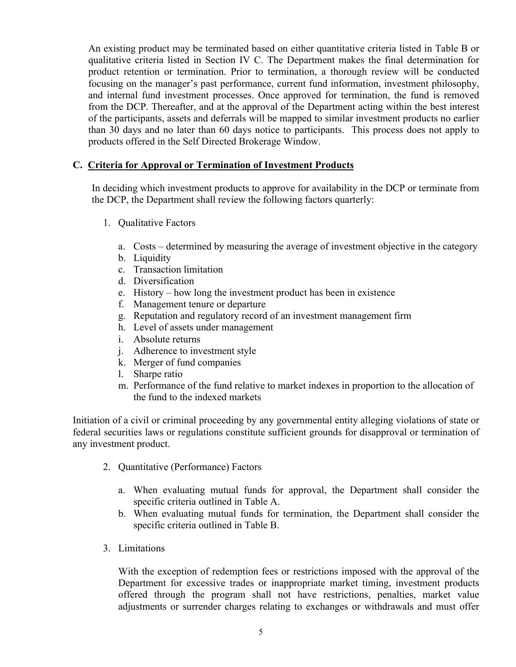An existing product may be terminated based on either quantitative criteria listed in Table B or qualitative criteria listed in Section IV C. The Department makes the final determination for product retention or termination. Prior to termination, a thorough review will be conducted focusing on the manager's past performance, current fund information, investment philosophy, and internal fund investment processes. Once approved for termination, the fund is removed from the DCP. Thereafter, and at the approval of the Department acting within the best interest of the participants, assets and deferrals will be mapped to similar investment products no earlier than 30 days and no later than 60 days notice to participants. This process does not apply to products offered in the Self Directed Brokerage Window.

#### **C. Criteria for Approval or Termination of Investment Products**

In deciding which investment products to approve for availability in the DCP or terminate from the DCP, the Department shall review the following factors quarterly:

- 1. Qualitative Factors
	- a. Costs determined by measuring the average of investment objective in the category
	- b. Liquidity
	- c. Transaction limitation
	- d. Diversification
	- e. History how long the investment product has been in existence
	- f. Management tenure or departure
	- g. Reputation and regulatory record of an investment management firm
	- h. Level of assets under management
	- i. Absolute returns
	- j. Adherence to investment style
	- k. Merger of fund companies
	- l. Sharpe ratio
	- m. Performance of the fund relative to market indexes in proportion to the allocation of the fund to the indexed markets

Initiation of a civil or criminal proceeding by any governmental entity alleging violations of state or federal securities laws or regulations constitute sufficient grounds for disapproval or termination of any investment product.

- 2. Quantitative (Performance) Factors
	- a. When evaluating mutual funds for approval, the Department shall consider the specific criteria outlined in Table A.
	- b. When evaluating mutual funds for termination, the Department shall consider the specific criteria outlined in Table B.
- 3. Limitations

With the exception of redemption fees or restrictions imposed with the approval of the Department for excessive trades or inappropriate market timing, investment products offered through the program shall not have restrictions, penalties, market value adjustments or surrender charges relating to exchanges or withdrawals and must offer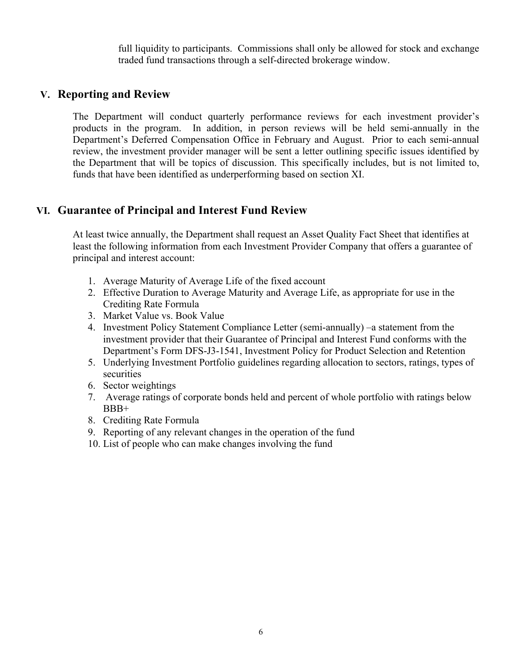full liquidity to participants. Commissions shall only be allowed for stock and exchange traded fund transactions through a self-directed brokerage window.

#### **V. Reporting and Review**

The Department will conduct quarterly performance reviews for each investment provider's products in the program. In addition, in person reviews will be held semi-annually in the Department's Deferred Compensation Office in February and August. Prior to each semi-annual review, the investment provider manager will be sent a letter outlining specific issues identified by the Department that will be topics of discussion. This specifically includes, but is not limited to, funds that have been identified as underperforming based on section XI.

### **VI. Guarantee of Principal and Interest Fund Review**

At least twice annually, the Department shall request an Asset Quality Fact Sheet that identifies at least the following information from each Investment Provider Company that offers a guarantee of principal and interest account:

- 1. Average Maturity of Average Life of the fixed account
- 2. Effective Duration to Average Maturity and Average Life, as appropriate for use in the Crediting Rate Formula
- 3. Market Value vs. Book Value
- 4. Investment Policy Statement Compliance Letter (semi-annually) –a statement from the investment provider that their Guarantee of Principal and Interest Fund conforms with the Department's Form DFS-J3-1541, Investment Policy for Product Selection and Retention
- 5. Underlying Investment Portfolio guidelines regarding allocation to sectors, ratings, types of securities
- 6. Sector weightings
- 7. Average ratings of corporate bonds held and percent of whole portfolio with ratings below BBB+
- 8. Crediting Rate Formula
- 9. Reporting of any relevant changes in the operation of the fund
- 10. List of people who can make changes involving the fund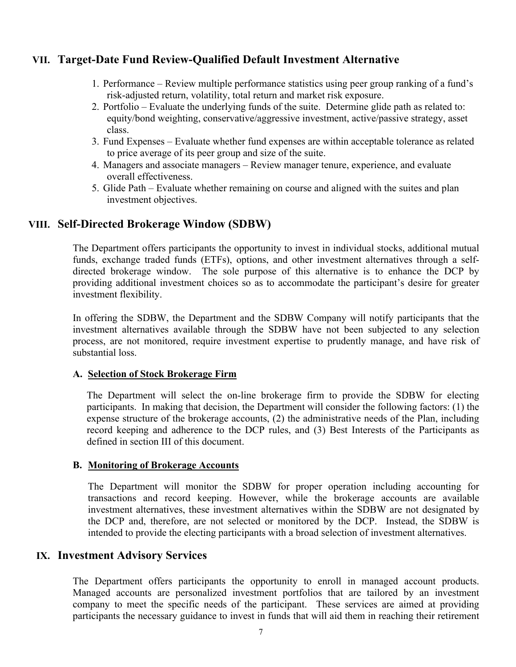### **VII. Target-Date Fund Review-Qualified Default Investment Alternative**

- 1. Performance Review multiple performance statistics using peer group ranking of a fund's risk-adjusted return, volatility, total return and market risk exposure.
- 2. Portfolio Evaluate the underlying funds of the suite. Determine glide path as related to: equity/bond weighting, conservative/aggressive investment, active/passive strategy, asset class.
- 3. Fund Expenses Evaluate whether fund expenses are within acceptable tolerance as related to price average of its peer group and size of the suite.
- 4. Managers and associate managers Review manager tenure, experience, and evaluate overall effectiveness.
- 5. Glide Path Evaluate whether remaining on course and aligned with the suites and plan investment objectives.

#### **VIII. Self-Directed Brokerage Window (SDBW)**

The Department offers participants the opportunity to invest in individual stocks, additional mutual funds, exchange traded funds (ETFs), options, and other investment alternatives through a selfdirected brokerage window. The sole purpose of this alternative is to enhance the DCP by providing additional investment choices so as to accommodate the participant's desire for greater investment flexibility.

In offering the SDBW, the Department and the SDBW Company will notify participants that the investment alternatives available through the SDBW have not been subjected to any selection process, are not monitored, require investment expertise to prudently manage, and have risk of substantial loss.

#### **A. Selection of Stock Brokerage Firm**

The Department will select the on-line brokerage firm to provide the SDBW for electing participants. In making that decision, the Department will consider the following factors: (1) the expense structure of the brokerage accounts, (2) the administrative needs of the Plan, including record keeping and adherence to the DCP rules, and (3) Best Interests of the Participants as defined in section III of this document.

#### **B. Monitoring of Brokerage Accounts**

The Department will monitor the SDBW for proper operation including accounting for transactions and record keeping. However, while the brokerage accounts are available investment alternatives, these investment alternatives within the SDBW are not designated by the DCP and, therefore, are not selected or monitored by the DCP. Instead, the SDBW is intended to provide the electing participants with a broad selection of investment alternatives.

#### **IX. Investment Advisory Services**

The Department offers participants the opportunity to enroll in managed account products. Managed accounts are personalized investment portfolios that are tailored by an investment company to meet the specific needs of the participant. These services are aimed at providing participants the necessary guidance to invest in funds that will aid them in reaching their retirement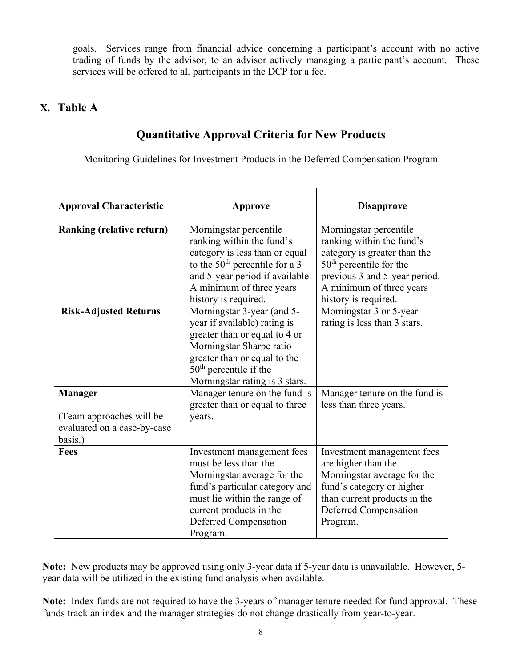goals. Services range from financial advice concerning a participant's account with no active trading of funds by the advisor, to an advisor actively managing a participant's account. These services will be offered to all participants in the DCP for a fee.

## **X. Table A**

## **Quantitative Approval Criteria for New Products**

Monitoring Guidelines for Investment Products in the Deferred Compensation Program

| <b>Approval Characteristic</b>                                                       | Approve                                                                                                                                                                                                               | <b>Disapprove</b>                                                                                                                                                                                     |  |
|--------------------------------------------------------------------------------------|-----------------------------------------------------------------------------------------------------------------------------------------------------------------------------------------------------------------------|-------------------------------------------------------------------------------------------------------------------------------------------------------------------------------------------------------|--|
| <b>Ranking (relative return)</b>                                                     | Morningstar percentile<br>ranking within the fund's<br>category is less than or equal<br>to the $50th$ percentile for a 3<br>and 5-year period if available.<br>A minimum of three years<br>history is required.      | Morningstar percentile<br>ranking within the fund's<br>category is greater than the<br>$50th$ percentile for the<br>previous 3 and 5-year period.<br>A minimum of three years<br>history is required. |  |
| <b>Risk-Adjusted Returns</b>                                                         | Morningstar 3-year (and 5-<br>year if available) rating is<br>greater than or equal to 4 or<br>Morningstar Sharpe ratio<br>greater than or equal to the<br>$50th$ percentile if the<br>Morningstar rating is 3 stars. | Morningstar 3 or 5-year<br>rating is less than 3 stars.                                                                                                                                               |  |
| <b>Manager</b><br>(Team approaches will be<br>evaluated on a case-by-case<br>basis.) | Manager tenure on the fund is<br>greater than or equal to three<br>years.                                                                                                                                             | Manager tenure on the fund is<br>less than three years.                                                                                                                                               |  |
| Fees                                                                                 | Investment management fees<br>must be less than the<br>Morningstar average for the<br>fund's particular category and<br>must lie within the range of<br>current products in the<br>Deferred Compensation<br>Program.  | Investment management fees<br>are higher than the<br>Morningstar average for the<br>fund's category or higher<br>than current products in the<br>Deferred Compensation<br>Program.                    |  |

**Note:** New products may be approved using only 3-year data if 5-year data is unavailable. However, 5 year data will be utilized in the existing fund analysis when available.

**Note:** Index funds are not required to have the 3-years of manager tenure needed for fund approval. These funds track an index and the manager strategies do not change drastically from year-to-year.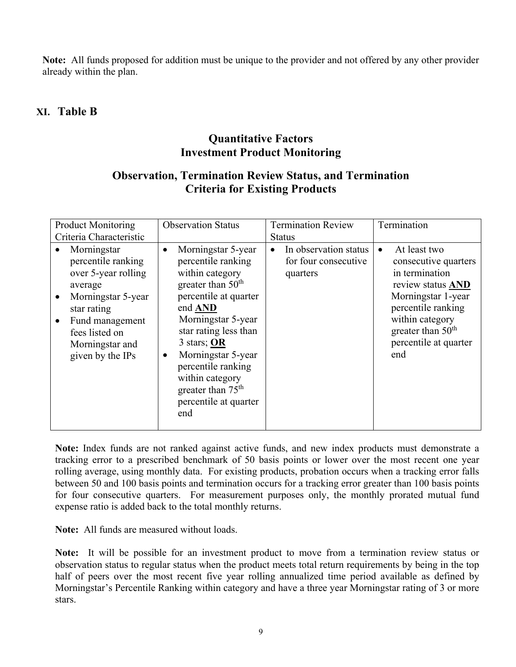**Note:** All funds proposed for addition must be unique to the provider and not offered by any other provider already within the plan.

#### **XI. Table B**

#### **Quantitative Factors Investment Product Monitoring**

## **Observation, Termination Review Status, and Termination Criteria for Existing Products**

| <b>Product Monitoring</b><br>Criteria Characteristic                                                                                                                                 | <b>Observation Status</b>                                                                                                                                                                                                                                                                                                                                                        | <b>Termination Review</b><br><b>Status</b>                             | Termination                                                                                                                                                                                                    |
|--------------------------------------------------------------------------------------------------------------------------------------------------------------------------------------|----------------------------------------------------------------------------------------------------------------------------------------------------------------------------------------------------------------------------------------------------------------------------------------------------------------------------------------------------------------------------------|------------------------------------------------------------------------|----------------------------------------------------------------------------------------------------------------------------------------------------------------------------------------------------------------|
| Morningstar<br>percentile ranking<br>over 5-year rolling<br>average<br>Morningstar 5-year<br>star rating<br>Fund management<br>fees listed on<br>Morningstar and<br>given by the IPs | Morningstar 5-year<br>$\bullet$<br>percentile ranking<br>within category<br>greater than $50th$<br>percentile at quarter<br>end AND<br>Morningstar 5-year<br>star rating less than<br>$3 \text{ stars}; \overrightarrow{\text{OR}}$<br>Morningstar 5-year<br>$\bullet$<br>percentile ranking<br>within category<br>greater than 75 <sup>th</sup><br>percentile at quarter<br>end | In observation status<br>$\bullet$<br>for four consecutive<br>quarters | At least two<br>$\bullet$<br>consecutive quarters<br>in termination<br>review status AND<br>Morningstar 1-year<br>percentile ranking<br>within category<br>greater than $50th$<br>percentile at quarter<br>end |

**Note:** Index funds are not ranked against active funds, and new index products must demonstrate a tracking error to a prescribed benchmark of 50 basis points or lower over the most recent one year rolling average, using monthly data. For existing products, probation occurs when a tracking error falls between 50 and 100 basis points and termination occurs for a tracking error greater than 100 basis points for four consecutive quarters. For measurement purposes only, the monthly prorated mutual fund expense ratio is added back to the total monthly returns.

**Note:** All funds are measured without loads.

**Note:** It will be possible for an investment product to move from a termination review status or observation status to regular status when the product meets total return requirements by being in the top half of peers over the most recent five year rolling annualized time period available as defined by Morningstar's Percentile Ranking within category and have a three year Morningstar rating of 3 or more stars.